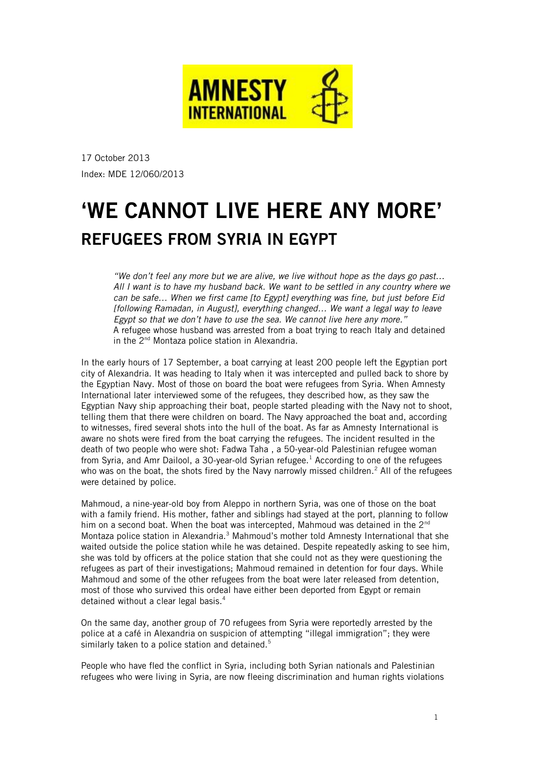

17 October 2013 Index: MDE 12/060/2013

# 'WE CANNOT LIVE HERE ANY MORE' REFUGEES FROM SYRIA IN EGYPT

"We don't feel any more but we are alive, we live without hope as the days go past… All I want is to have my husband back. We want to be settled in any country where we can be safe… When we first came [to Egypt] everything was fine, but just before Eid [following Ramadan, in August], everything changed… We want a legal way to leave Egypt so that we don't have to use the sea. We cannot live here any more." A refugee whose husband was arrested from a boat trying to reach Italy and detained in the 2<sup>nd</sup> Montaza police station in Alexandria.

In the early hours of 17 September, a boat carrying at least 200 people left the Egyptian port city of Alexandria. It was heading to Italy when it was intercepted and pulled back to shore by the Egyptian Navy. Most of those on board the boat were refugees from Syria. When Amnesty International later interviewed some of the refugees, they described how, as they saw the Egyptian Navy ship approaching their boat, people started pleading with the Navy not to shoot, telling them that there were children on board. The Navy approached the boat and, according to witnesses, fired several shots into the hull of the boat. As far as Amnesty International is aware no shots were fired from the boat carrying the refugees. The incident resulted in the death of two people who were shot: Fadwa Taha , a 50-year-old Palestinian refugee woman from Syria, and Amr Dailool, a 30-year-old Syrian refugee.<sup>[1](#page-10-0)</sup> According to one of the refugees who was on the boat, the shots fired by the Navy narrowly missed children.<sup>[2](#page-10-1)</sup> All of the refugees were detained by police.

Mahmoud, a nine-year-old boy from Aleppo in northern Syria, was one of those on the boat with a family friend. His mother, father and siblings had stayed at the port, planning to follow him on a second boat. When the boat was intercepted, Mahmoud was detained in the  $2^{nd}$ Montaza police station in Alexandria.<sup>[3](#page-10-2)</sup> Mahmoud's mother told Amnesty International that she waited outside the police station while he was detained. Despite repeatedly asking to see him, she was told by officers at the police station that she could not as they were questioning the refugees as part of their investigations; Mahmoud remained in detention for four days. While Mahmoud and some of the other refugees from the boat were later released from detention, most of those who survived this ordeal have either been deported from Egypt or remain detained without a clear legal basis.[4](#page-10-3)

On the same day, another group of 70 refugees from Syria were reportedly arrested by the police at a café in Alexandria on suspicion of attempting "illegal immigration"; they were similarly taken to a police station and detained.<sup>[5](#page-10-4)</sup>

People who have fled the conflict in Syria, including both Syrian nationals and Palestinian refugees who were living in Syria, are now fleeing discrimination and human rights violations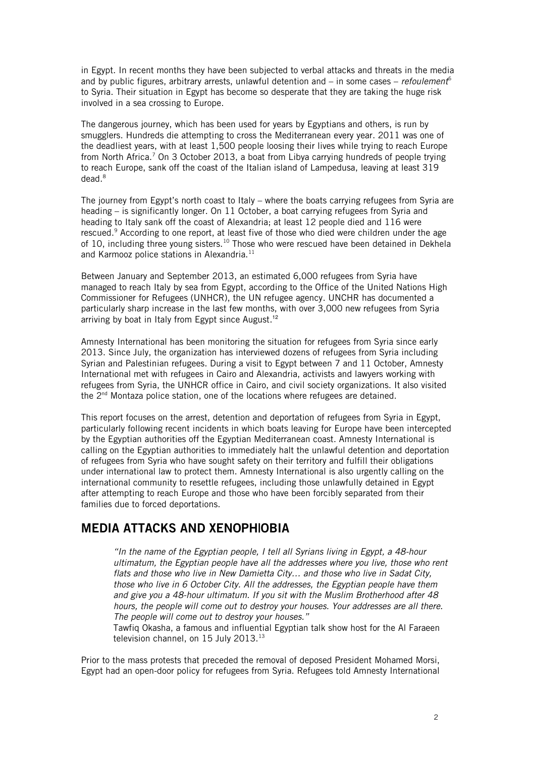in Egypt. In recent months they have been subjected to verbal attacks and threats in the media and by public figures, arbitrary arrests, unlawful detention and – in some cases – *refoulement*<sup>[6](#page-10-5)</sup> to Syria. Their situation in Egypt has become so desperate that they are taking the huge risk involved in a sea crossing to Europe.

The dangerous journey, which has been used for years by Egyptians and others, is run by smugglers. Hundreds die attempting to cross the Mediterranean every year. 2011 was one of the deadliest years, with at least 1,500 people loosing their lives while trying to reach Europe from North Africa.<sup>[7](#page-10-6)</sup> On 3 October 2013, a boat from Libya carrying hundreds of people trying to reach Europe, sank off the coast of the Italian island of Lampedusa, leaving at least 319 dead.<sup>[8](#page-10-7)</sup>

The journey from Egypt's north coast to Italy – where the boats carrying refugees from Syria are heading – is significantly longer. On 11 October, a boat carrying refugees from Syria and heading to Italy sank off the coast of Alexandria; at least 12 people died and 116 were rescued.<sup>[9](#page-10-8)</sup> According to one report, at least five of those who died were children under the age of [10](#page-10-9), including three young sisters.<sup>10</sup> Those who were rescued have been detained in Dekhela and Karmooz police stations in Alexandria.<sup>[11](#page-10-10)</sup>

Between January and September 2013, an estimated 6,000 refugees from Syria have managed to reach Italy by sea from Egypt, according to the Office of the United Nations High Commissioner for Refugees (UNHCR), the UN refugee agency. UNCHR has documented a particularly sharp increase in the last few months, with over 3,000 new refugees from Syria arriving by boat in Italy from Egypt since August.<sup>[12](#page-10-11)</sup>

Amnesty International has been monitoring the situation for refugees from Syria since early 2013. Since July, the organization has interviewed dozens of refugees from Syria including Syrian and Palestinian refugees. During a visit to Egypt between 7 and 11 October, Amnesty International met with refugees in Cairo and Alexandria, activists and lawyers working with refugees from Syria, the UNHCR office in Cairo, and civil society organizations. It also visited the  $2<sup>nd</sup>$  Montaza police station, one of the locations where refugees are detained.

This report focuses on the arrest, detention and deportation of refugees from Syria in Egypt, particularly following recent incidents in which boats leaving for Europe have been intercepted by the Egyptian authorities off the Egyptian Mediterranean coast. Amnesty International is calling on the Egyptian authorities to immediately halt the unlawful detention and deportation of refugees from Syria who have sought safety on their territory and fulfill their obligations under international law to protect them. Amnesty International is also urgently calling on the international community to resettle refugees, including those unlawfully detained in Egypt after attempting to reach Europe and those who have been forcibly separated from their families due to forced deportations.

### MEDIA ATTACKS AND XENOPH|OBIA

"In the name of the Egyptian people, I tell all Syrians living in Egypt, a 48-hour ultimatum, the Egyptian people have all the addresses where you live, those who rent flats and those who live in New Damietta City… and those who live in Sadat City, those who live in 6 October City. All the addresses, the Egyptian people have them and give you a 48-hour ultimatum. If you sit with the Muslim Brotherhood after 48 hours, the people will come out to destroy your houses. Your addresses are all there. The people will come out to destroy your houses."

Tawfiq Okasha, a famous and influential Egyptian talk show host for the Al Faraeen television channel, on 15 July 20[13](#page-10-12).<sup>13</sup>

Prior to the mass protests that preceded the removal of deposed President Mohamed Morsi, Egypt had an open-door policy for refugees from Syria. Refugees told Amnesty International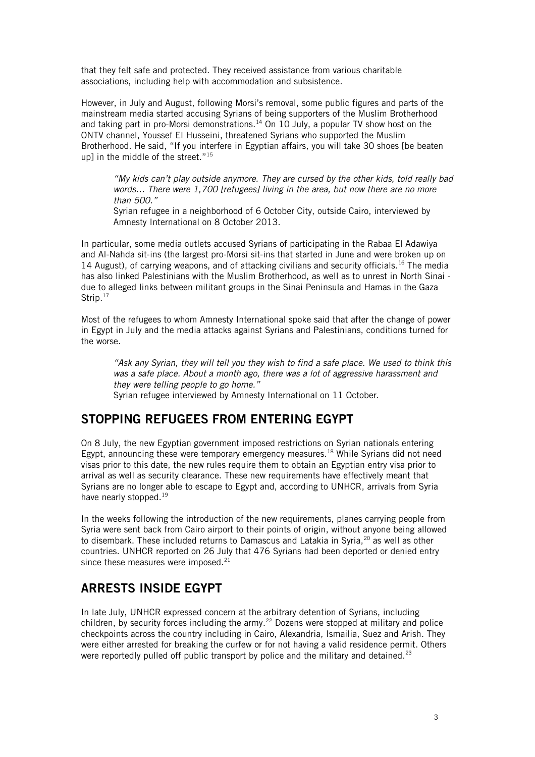that they felt safe and protected. They received assistance from various charitable associations, including help with accommodation and subsistence.

However, in July and August, following Morsi's removal, some public figures and parts of the mainstream media started accusing Syrians of being supporters of the Muslim Brotherhood and taking part in pro-Morsi demonstrations.<sup>[14](#page-10-13)</sup> On 10 July, a popular TV show host on the ONTV channel, Youssef El Husseini, threatened Syrians who supported the Muslim Brotherhood. He said, "If you interfere in Egyptian affairs, you will take 30 shoes [be beaten up] in the middle of the street." $15$ 

"My kids can't play outside anymore. They are cursed by the other kids, told really bad words... There were 1,700 [refugees] living in the area, but now there are no more than 500."

Syrian refugee in a neighborhood of 6 October City, outside Cairo, interviewed by Amnesty International on 8 October 2013.

In particular, some media outlets accused Syrians of participating in the Rabaa El Adawiya and Al-Nahda sit-ins (the largest pro-Morsi sit-ins that started in June and were broken up on 14 August), of carrying weapons, and of attacking civilians and security officials.<sup>[16](#page-10-15)</sup> The media has also linked Palestinians with the Muslim Brotherhood, as well as to unrest in North Sinai due to alleged links between militant groups in the Sinai Peninsula and Hamas in the Gaza Strip.<sup>[17](#page-10-16)</sup>

Most of the refugees to whom Amnesty International spoke said that after the change of power in Egypt in July and the media attacks against Syrians and Palestinians, conditions turned for the worse.

"Ask any Syrian, they will tell you they wish to find a safe place. We used to think this was a safe place. About a month ago, there was a lot of aggressive harassment and they were telling people to go home." Syrian refugee interviewed by Amnesty International on 11 October.

### STOPPING REFUGEES FROM ENTERING EGYPT

On 8 July, the new Egyptian government imposed restrictions on Syrian nationals entering Egypt, announcing these were temporary emergency measures.<sup>[18](#page-10-17)</sup> While Syrians did not need visas prior to this date, the new rules require them to obtain an Egyptian entry visa prior to arrival as well as security clearance. These new requirements have effectively meant that Syrians are no longer able to escape to Egypt and, according to UNHCR, arrivals from Syria have nearly stopped.<sup>[19](#page-10-18)</sup>

In the weeks following the introduction of the new requirements, planes carrying people from Syria were sent back from Cairo airport to their points of origin, without anyone being allowed to disembark. These included returns to Damascus and Latakia in Syria,<sup>[20](#page-10-19)</sup> as well as other countries. UNHCR reported on 26 July that 476 Syrians had been deported or denied entry since these measures were imposed.<sup>[21](#page-10-20)</sup>

# ARRESTS INSIDE EGYPT

In late July, UNHCR expressed concern at the arbitrary detention of Syrians, including children, by security forces including the army.<sup>[22](#page-10-21)</sup> Dozens were stopped at military and police checkpoints across the country including in Cairo, Alexandria, Ismailia, Suez and Arish. They were either arrested for breaking the curfew or for not having a valid residence permit. Others were reportedly pulled off public transport by police and the military and detained. $23$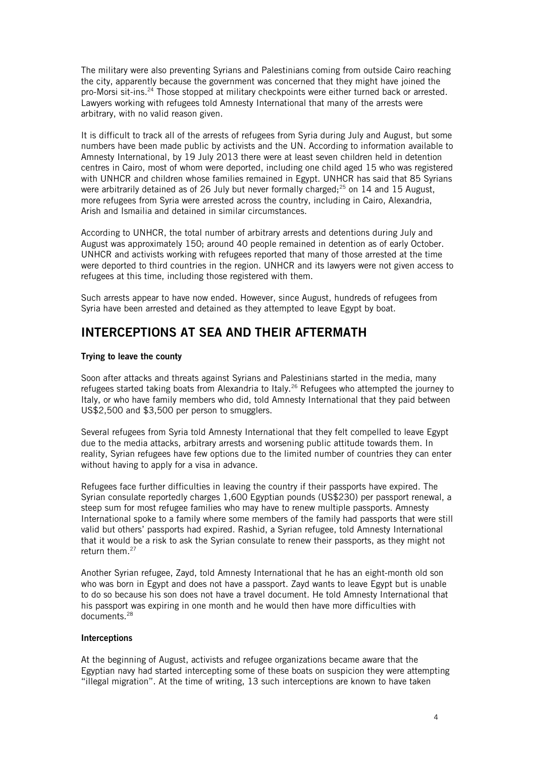The military were also preventing Syrians and Palestinians coming from outside Cairo reaching the city, apparently because the government was concerned that they might have joined the pro-Morsi sit-ins.<sup>[24](#page-10-23)</sup> Those stopped at military checkpoints were either turned back or arrested. Lawyers working with refugees told Amnesty International that many of the arrests were arbitrary, with no valid reason given.

It is difficult to track all of the arrests of refugees from Syria during July and August, but some numbers have been made public by activists and the UN. According to information available to Amnesty International, by 19 July 2013 there were at least seven children held in detention centres in Cairo, most of whom were deported, including one child aged 15 who was registered with UNHCR and children whose families remained in Egypt. UNHCR has said that 85 Syrians were arbitrarily detained as of 26 July but never formally charged; $^{25}$  $^{25}$  $^{25}$  on 14 and 15 August, more refugees from Syria were arrested across the country, including in Cairo, Alexandria, Arish and Ismailia and detained in similar circumstances.

According to UNHCR, the total number of arbitrary arrests and detentions during July and August was approximately 150; around 40 people remained in detention as of early October. UNHCR and activists working with refugees reported that many of those arrested at the time were deported to third countries in the region. UNHCR and its lawyers were not given access to refugees at this time, including those registered with them.

Such arrests appear to have now ended. However, since August, hundreds of refugees from Syria have been arrested and detained as they attempted to leave Egypt by boat.

### INTERCEPTIONS AT SEA AND THEIR AFTERMATH

### Trying to leave the county

Soon after attacks and threats against Syrians and Palestinians started in the media, many refugees started taking boats from Alexandria to Italy.<sup>[26](#page-10-25)</sup> Refugees who attempted the journey to Italy, or who have family members who did, told Amnesty International that they paid between US\$2,500 and \$3,500 per person to smugglers.

Several refugees from Syria told Amnesty International that they felt compelled to leave Egypt due to the media attacks, arbitrary arrests and worsening public attitude towards them. In reality, Syrian refugees have few options due to the limited number of countries they can enter without having to apply for a visa in advance.

Refugees face further difficulties in leaving the country if their passports have expired. The Syrian consulate reportedly charges 1,600 Egyptian pounds (US\$230) per passport renewal, a steep sum for most refugee families who may have to renew multiple passports. Amnesty International spoke to a family where some members of the family had passports that were still valid but others' passports had expired. Rashid, a Syrian refugee, told Amnesty International that it would be a risk to ask the Syrian consulate to renew their passports, as they might not return them.<sup>[27](#page-10-26)</sup>

Another Syrian refugee, Zayd, told Amnesty International that he has an eight-month old son who was born in Egypt and does not have a passport. Zayd wants to leave Egypt but is unable to do so because his son does not have a travel document. He told Amnesty International that his passport was expiring in one month and he would then have more difficulties with documents.<sup>[28](#page-10-27)</sup>

### Interceptions

At the beginning of August, activists and refugee organizations became aware that the Egyptian navy had started intercepting some of these boats on suspicion they were attempting "illegal migration". At the time of writing, 13 such interceptions are known to have taken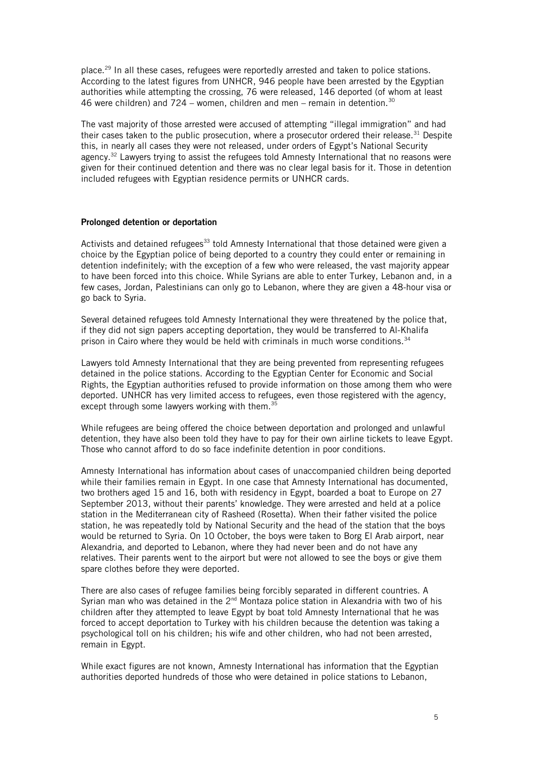place.[29](#page-10-28) In all these cases, refugees were reportedly arrested and taken to police stations. According to the latest figures from UNHCR, 946 people have been arrested by the Egyptian authorities while attempting the crossing, 76 were released, 146 deported (of whom at least 46 were children) and 724 – women, children and men – remain in detention.<sup>[30](#page-10-29)</sup>

The vast majority of those arrested were accused of attempting "illegal immigration" and had their cases taken to the public prosecution, where a prosecutor ordered their release.<sup>[31](#page-10-30)</sup> Despite this, in nearly all cases they were not released, under orders of Egypt's National Security agency.<sup>[32](#page-10-31)</sup> Lawyers trying to assist the refugees told Amnesty International that no reasons were given for their continued detention and there was no clear legal basis for it. Those in detention included refugees with Egyptian residence permits or UNHCR cards.

#### Prolonged detention or deportation

Activists and detained refugees<sup>[33](#page-10-32)</sup> told Amnesty International that those detained were given a choice by the Egyptian police of being deported to a country they could enter or remaining in detention indefinitely; with the exception of a few who were released, the vast majority appear to have been forced into this choice. While Syrians are able to enter Turkey, Lebanon and, in a few cases, Jordan, Palestinians can only go to Lebanon, where they are given a 48-hour visa or go back to Syria.

Several detained refugees told Amnesty International they were threatened by the police that, if they did not sign papers accepting deportation, they would be transferred to Al-Khalifa prison in Cairo where they would be held with criminals in much worse conditions.<sup>[34](#page-10-33)</sup>

Lawyers told Amnesty International that they are being prevented from representing refugees detained in the police stations. According to the Egyptian Center for Economic and Social Rights, the Egyptian authorities refused to provide information on those among them who were deported. UNHCR has very limited access to refugees, even those registered with the agency, except through some lawyers working with them.<sup>[35](#page-10-34)</sup>

While refugees are being offered the choice between deportation and prolonged and unlawful detention, they have also been told they have to pay for their own airline tickets to leave Egypt. Those who cannot afford to do so face indefinite detention in poor conditions.

Amnesty International has information about cases of unaccompanied children being deported while their families remain in Egypt. In one case that Amnesty International has documented, two brothers aged 15 and 16, both with residency in Egypt, boarded a boat to Europe on 27 September 2013, without their parents' knowledge. They were arrested and held at a police station in the Mediterranean city of Rasheed (Rosetta). When their father visited the police station, he was repeatedly told by National Security and the head of the station that the boys would be returned to Syria. On 10 October, the boys were taken to Borg El Arab airport, near Alexandria, and deported to Lebanon, where they had never been and do not have any relatives. Their parents went to the airport but were not allowed to see the boys or give them spare clothes before they were deported.

There are also cases of refugee families being forcibly separated in different countries. A Syrian man who was detained in the  $2^{nd}$  Montaza police station in Alexandria with two of his children after they attempted to leave Egypt by boat told Amnesty International that he was forced to accept deportation to Turkey with his children because the detention was taking a psychological toll on his children; his wife and other children, who had not been arrested, remain in Egypt.

While exact figures are not known, Amnesty International has information that the Egyptian authorities deported hundreds of those who were detained in police stations to Lebanon,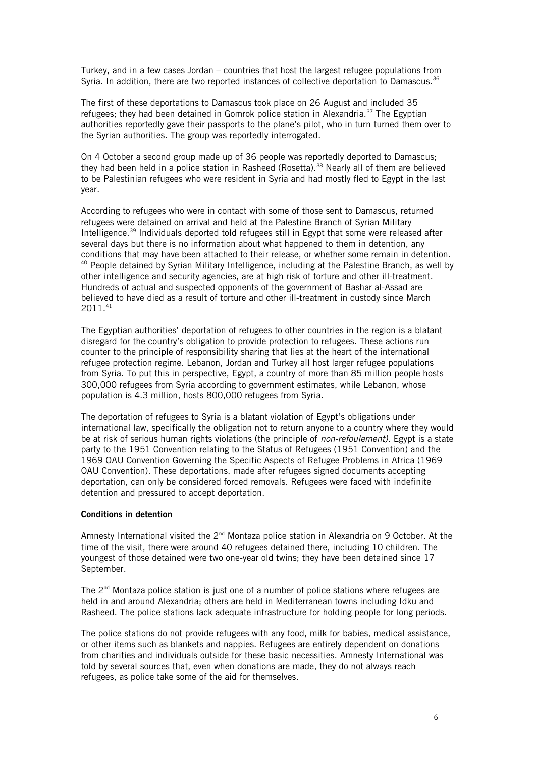Turkey, and in a few cases Jordan – countries that host the largest refugee populations from Syria. In addition, there are two reported instances of collective deportation to Damascus.<sup>[36](#page-10-35)</sup>

The first of these deportations to Damascus took place on 26 August and included 35 refugees; they had been detained in Gomrok police station in Alexandria.<sup>[37](#page-10-36)</sup> The Egyptian authorities reportedly gave their passports to the plane's pilot, who in turn turned them over to the Syrian authorities. The group was reportedly interrogated.

On 4 October a second group made up of 36 people was reportedly deported to Damascus; they had been held in a police station in Rasheed (Rosetta).<sup>[38](#page-11-0)</sup> Nearly all of them are believed to be Palestinian refugees who were resident in Syria and had mostly fled to Egypt in the last year.

According to refugees who were in contact with some of those sent to Damascus, returned refugees were detained on arrival and held at the Palestine Branch of Syrian Military Intelligence.[39](#page-11-1) Individuals deported told refugees still in Egypt that some were released after several days but there is no information about what happened to them in detention, any conditions that may have been attached to their release, or whether some remain in detention. <sup>[40](#page-11-2)</sup> People detained by Syrian Military Intelligence, including at the Palestine Branch, as well by other intelligence and security agencies, are at high risk of torture and other ill-treatment. Hundreds of actual and suspected opponents of the government of Bashar al-Assad are believed to have died as a result of torture and other ill-treatment in custody since March 2011.[41](#page-11-3)

The Egyptian authorities' deportation of refugees to other countries in the region is a blatant disregard for the country's obligation to provide protection to refugees. These actions run counter to the principle of responsibility sharing that lies at the heart of the international refugee protection regime. Lebanon, Jordan and Turkey all host larger refugee populations from Syria. To put this in perspective, Egypt, a country of more than 85 million people hosts 300,000 refugees from Syria according to government estimates, while Lebanon, whose population is 4.3 million, hosts 800,000 refugees from Syria.

The deportation of refugees to Syria is a blatant violation of Egypt's obligations under international law, specifically the obligation not to return anyone to a country where they would be at risk of serious human rights violations (the principle of *non-refoulement)*. Egypt is a state party to the 1951 Convention relating to the Status of Refugees (1951 Convention) and the 1969 OAU Convention Governing the Specific Aspects of Refugee Problems in Africa (1969 OAU Convention). These deportations, made after refugees signed documents accepting deportation, can only be considered forced removals. Refugees were faced with indefinite detention and pressured to accept deportation.

### Conditions in detention

Amnesty International visited the 2<sup>nd</sup> Montaza police station in Alexandria on 9 October. At the time of the visit, there were around 40 refugees detained there, including 10 children. The youngest of those detained were two one-year old twins; they have been detained since 17 September.

The  $2<sup>nd</sup>$  Montaza police station is just one of a number of police stations where refugees are held in and around Alexandria; others are held in Mediterranean towns including Idku and Rasheed. The police stations lack adequate infrastructure for holding people for long periods.

The police stations do not provide refugees with any food, milk for babies, medical assistance, or other items such as blankets and nappies. Refugees are entirely dependent on donations from charities and individuals outside for these basic necessities. Amnesty International was told by several sources that, even when donations are made, they do not always reach refugees, as police take some of the aid for themselves.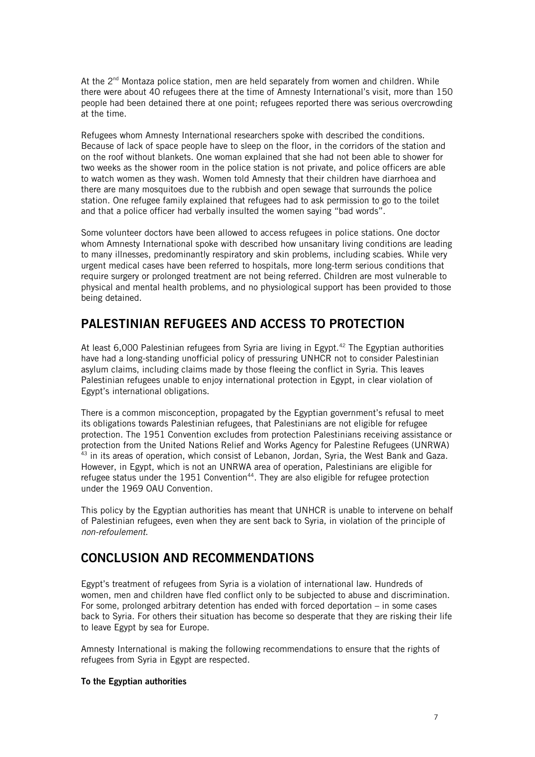At the  $2^{nd}$  Montaza police station, men are held separately from women and children. While there were about 40 refugees there at the time of Amnesty International's visit, more than 150 people had been detained there at one point; refugees reported there was serious overcrowding at the time.

Refugees whom Amnesty International researchers spoke with described the conditions. Because of lack of space people have to sleep on the floor, in the corridors of the station and on the roof without blankets. One woman explained that she had not been able to shower for two weeks as the shower room in the police station is not private, and police officers are able to watch women as they wash. Women told Amnesty that their children have diarrhoea and there are many mosquitoes due to the rubbish and open sewage that surrounds the police station. One refugee family explained that refugees had to ask permission to go to the toilet and that a police officer had verbally insulted the women saying "bad words".

Some volunteer doctors have been allowed to access refugees in police stations. One doctor whom Amnesty International spoke with described how unsanitary living conditions are leading to many illnesses, predominantly respiratory and skin problems, including scabies. While very urgent medical cases have been referred to hospitals, more long-term serious conditions that require surgery or prolonged treatment are not being referred. Children are most vulnerable to physical and mental health problems, and no physiological support has been provided to those being detained.

# PALESTINIAN REFUGEES AND ACCESS TO PROTECTION

At least 6,000 Palestinian refugees from Syria are living in Egypt.<sup>[42](#page-11-4)</sup> The Egyptian authorities have had a long-standing unofficial policy of pressuring UNHCR not to consider Palestinian asylum claims, including claims made by those fleeing the conflict in Syria. This leaves Palestinian refugees unable to enjoy international protection in Egypt, in clear violation of Egypt's international obligations.

There is a common misconception, propagated by the Egyptian government's refusal to meet its obligations towards Palestinian refugees, that Palestinians are not eligible for refugee protection. The 1951 Convention excludes from protection Palestinians receiving assistance or protection from the United Nations Relief and Works Agency for Palestine Refugees (UNRWA) <sup>[43](#page-11-5)</sup> in its areas of operation, which consist of Lebanon, Jordan, Syria, the West Bank and Gaza. However, in Egypt, which is not an UNRWA area of operation, Palestinians are eligible for refugee status under the 1951 Convention<sup>[44](#page-11-6)</sup>. They are also eligible for refugee protection under the 1969 OAU Convention.

This policy by the Egyptian authorities has meant that UNHCR is unable to intervene on behalf of Palestinian refugees, even when they are sent back to Syria, in violation of the principle of non-refoulement.

# CONCLUSION AND RECOMMENDATIONS

Egypt's treatment of refugees from Syria is a violation of international law. Hundreds of women, men and children have fled conflict only to be subjected to abuse and discrimination. For some, prolonged arbitrary detention has ended with forced deportation – in some cases back to Syria. For others their situation has become so desperate that they are risking their life to leave Egypt by sea for Europe.

Amnesty International is making the following recommendations to ensure that the rights of refugees from Syria in Egypt are respected.

### To the Egyptian authorities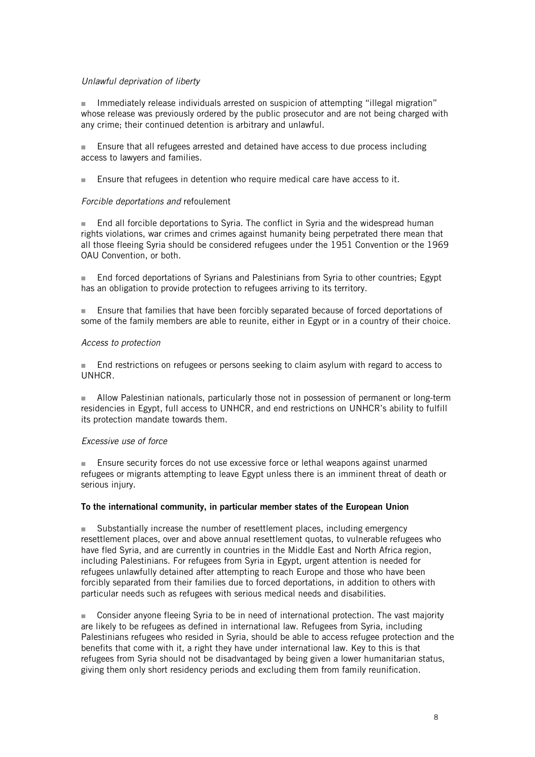### Unlawful deprivation of liberty

 Immediately release individuals arrested on suspicion of attempting "illegal migration" whose release was previously ordered by the public prosecutor and are not being charged with any crime; their continued detention is arbitrary and unlawful.

 Ensure that all refugees arrested and detained have access to due process including access to lawyers and families.

Ensure that refugees in detention who require medical care have access to it.

### Forcible deportations and refoulement

■ End all forcible deportations to Syria. The conflict in Syria and the widespread human rights violations, war crimes and crimes against humanity being perpetrated there mean that all those fleeing Syria should be considered refugees under the 1951 Convention or the 1969 OAU Convention, or both.

 End forced deportations of Syrians and Palestinians from Syria to other countries; Egypt has an obligation to provide protection to refugees arriving to its territory.

 Ensure that families that have been forcibly separated because of forced deportations of some of the family members are able to reunite, either in Egypt or in a country of their choice.

### Access to protection

**End restrictions on refugees or persons seeking to claim asylum with regard to access to** UNHCR.

**Allow Palestinian nationals, particularly those not in possession of permanent or long-term** residencies in Egypt, full access to UNHCR, and end restrictions on UNHCR's ability to fulfill its protection mandate towards them.

### Excessive use of force

 Ensure security forces do not use excessive force or lethal weapons against unarmed refugees or migrants attempting to leave Egypt unless there is an imminent threat of death or serious injury.

### To the international community, in particular member states of the European Union

 Substantially increase the number of resettlement places, including emergency resettlement places, over and above annual resettlement quotas, to vulnerable refugees who have fled Syria, and are currently in countries in the Middle East and North Africa region, including Palestinians. For refugees from Syria in Egypt, urgent attention is needed for refugees unlawfully detained after attempting to reach Europe and those who have been forcibly separated from their families due to forced deportations, in addition to others with particular needs such as refugees with serious medical needs and disabilities.

 Consider anyone fleeing Syria to be in need of international protection. The vast majority are likely to be refugees as defined in international law. Refugees from Syria, including Palestinians refugees who resided in Syria, should be able to access refugee protection and the benefits that come with it, a right they have under international law. Key to this is that refugees from Syria should not be disadvantaged by being given a lower humanitarian status, giving them only short residency periods and excluding them from family reunification.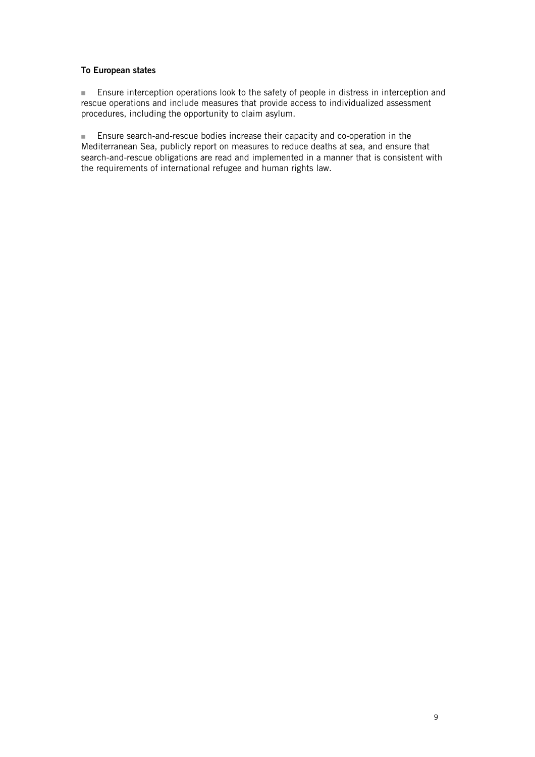### To European states

**Ensure interception operations look to the safety of people in distress in interception and** rescue operations and include measures that provide access to individualized assessment procedures, including the opportunity to claim asylum.

 Ensure search-and-rescue bodies increase their capacity and co-operation in the Mediterranean Sea, publicly report on measures to reduce deaths at sea, and ensure that search-and-rescue obligations are read and implemented in a manner that is consistent with the requirements of international refugee and human rights law.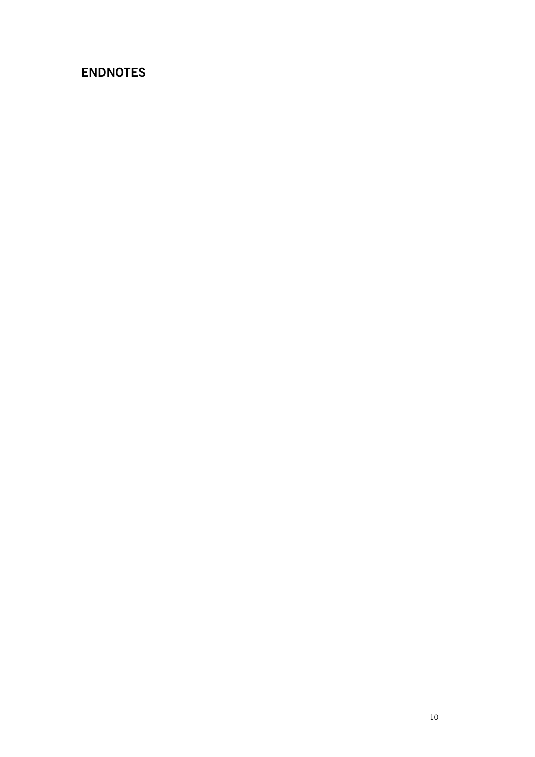# ENDNOTES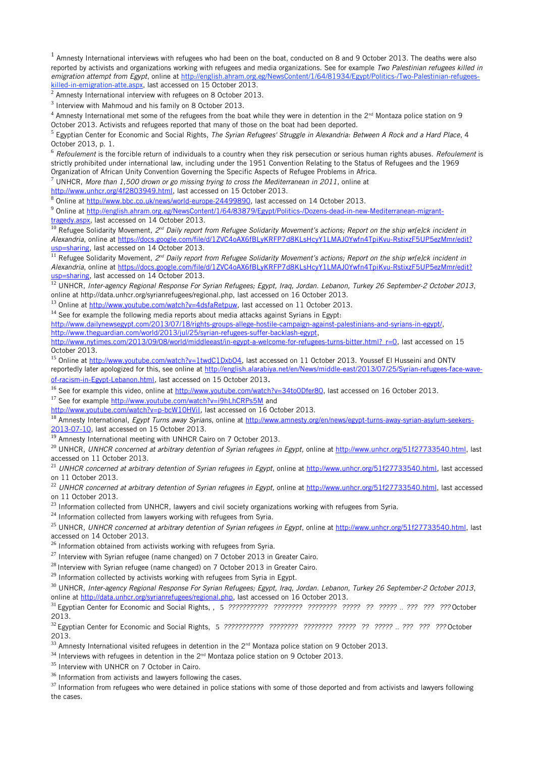<span id="page-10-0"></span> $^1$  Amnesty International interviews with refugees who had been on the boat, conducted on 8 and 9 October 2013. The deaths were also reported by activists and organizations working with refugees and media organizations. See for example Two Palestinian refugees killed in emigration attempt from Egypt, online at [http://english.ahram.org.eg/NewsContent/1/64/81934/Egypt/Politics-/Two-Palestinian-refugees](http://english.ahram.org.eg/NewsContent/1/64/81934/Egypt/Politics-/Two-Palestinian-refugees-killed-in-emigration-atte.aspx)[killed-in-emigration-atte.aspx,](http://english.ahram.org.eg/NewsContent/1/64/81934/Egypt/Politics-/Two-Palestinian-refugees-killed-in-emigration-atte.aspx) last accessed on 15 October 2013.

<span id="page-10-1"></span> $2$  Amnesty International interview with refugees on 8 October 2013.

<span id="page-10-2"></span> $3$  Interview with Mahmoud and his family on 8 October 2013.

<span id="page-10-3"></span> $^4$  Amnesty International met some of the refugees from the boat while they were in detention in the 2<sup>nd</sup> Montaza police station on 9 October 2013. Activists and refugees reported that many of those on the boat had been deported.

<span id="page-10-4"></span><sup>5</sup> Egyptian Center for Economic and Social Rights, *The Syrian Refugees' Struggle in Alexandria: Between A Rock and a Hard Place*, 4 October 2013, p. 1.

<span id="page-10-5"></span> $6$  Refoulement is the forcible return of individuals to a country when they risk persecution or serious human rights abuses. Refoulement is strictly prohibited under international law, including under the 1951 Convention Relating to the Status of Refugees and the 1969 Organization of African Unity Convention Governing the Specific Aspects of Refugee Problems in Africa.

<span id="page-10-6"></span>7 UNHCR, More than 1,500 drown or go missing trying to cross the Mediterranean in 2011, online at

[http://www.unhcr.org/4f2803949.html,](http://www.unhcr.org/4f2803949.html) last accessed on 15 October 2013.

<span id="page-10-7"></span><sup>8</sup> Online at [http://www.bbc.co.uk/news/world-europe-24499890,](http://www.bbc.co.uk/news/world-europe-24499890) last accessed on 14 October 2013.

<span id="page-10-8"></span><sup>9</sup> Online at <u>http://english.ahram.org.eg/NewsContent/1/64/83879/Egypt/Politics-/Dozens-dead-in-new-Mediterranean-migrant-</u> [tragedy.aspx,](http://english.ahram.org.eg/NewsContent/1/64/83879/Egypt/Politics-/Dozens-dead-in-new-Mediterranean-migrant-tragedy.aspx) last accessed on 14 October 2013.

<span id="page-10-9"></span> $10$  Refugee Solidarity Movement,  $2^{nd}$  Daily report from Refugee Solidarity Movement's actions; Report on the ship wr[e]ck incident in Alexandria, online at [https://docs.google.com/file/d/1ZVC4oAX6fBLyKRFP7d8KLsHcyY1LMAJ0Ywfn4TpiKvu-RstixzF5UP5ezMmr/edit?](https://docs.google.com/file/d/1ZVC4oAX6fBLyKRFP7d8KLsHcyY1LMAJ0Ywfn4TpiKvu-RstixzF5UP5ezMmr/edit?usp=sharing) [usp=sharing,](https://docs.google.com/file/d/1ZVC4oAX6fBLyKRFP7d8KLsHcyY1LMAJ0Ywfn4TpiKvu-RstixzF5UP5ezMmr/edit?usp=sharing) last accessed on 14 October 2013.

<span id="page-10-10"></span> $11$  Refugee Solidarity Movement,  $2^{nd}$  Daily report from Refugee Solidarity Movement's actions; Report on the ship wr[e]ck incident in Alexandria, online at [https://docs.google.com/file/d/1ZVC4oAX6fBLyKRFP7d8KLsHcyY1LMAJ0Ywfn4TpiKvu-RstixzF5UP5ezMmr/edit?](https://docs.google.com/file/d/1ZVC4oAX6fBLyKRFP7d8KLsHcyY1LMAJ0Ywfn4TpiKvu-RstixzF5UP5ezMmr/edit?usp=sharing) [usp=sharing,](https://docs.google.com/file/d/1ZVC4oAX6fBLyKRFP7d8KLsHcyY1LMAJ0Ywfn4TpiKvu-RstixzF5UP5ezMmr/edit?usp=sharing) last accessed on 14 October 2013.

<span id="page-10-11"></span><sup>12</sup> UNHCR, Inter-agency Regional Response For Syrian Refugees; Egypt, Iraq, Jordan. Lebanon, Turkey 26 September-2 October 2013, online at http://data.unhcr.org/syrianrefugees/regional.php, last accessed on 16 October 2013.

<span id="page-10-12"></span><sup>13</sup> Online at [http://www.youtube.com/watch?v=4dsfaRetpuw,](http://www.youtube.com/watch?v=4dsfaRetpuw) last accessed on 11 October 2013.

<span id="page-10-13"></span> $14$  See for example the following media reports about media attacks against Syrians in Egypt:

[http://www.dailynewsegypt.com/2013/07/18/rights-groups-allege-hostile-campaign-against-palestinians-and-syrians-in-egypt/,](http://www.dailynewsegypt.com/2013/07/18/rights-groups-allege-hostile-campaign-against-palestinians-and-syrians-in-egypt/) [http://www.theguardian.com/world/2013/jul/25/syrian-refugees-suffer-backlash-egypt,](http://www.theguardian.com/world/2013/jul/25/syrian-refugees-suffer-backlash-egypt)

[http://www.nytimes.com/2013/09/08/world/middleeast/in-egypt-a-welcome-for-refugees-turns-bitter.html?\\_r=0,](http://www.nytimes.com/2013/09/08/world/middleeast/in-egypt-a-welcome-for-refugees-turns-bitter.html?_r=0) last accessed on 15

October 2013.

<span id="page-10-14"></span><sup>15</sup> Online at [http://www.youtube.com/watch?v=1twdC1DxbO4,](http://www.youtube.com/watch?v=1twdC1DxbO4) last accessed on 11 October 2013. Youssef El Husseini and ONTV reportedly later apologized for this, see online at [http://english.alarabiya.net/en/News/middle-east/2013/07/25/Syrian-refugees-face-wave](http://english.alarabiya.net/en/News/middle-east/2013/07/25/Syrian-refugees-face-wave-of-racism-in-Egypt-Lebanon.html)[of-racism-in-Egypt-Lebanon.html,](http://english.alarabiya.net/en/News/middle-east/2013/07/25/Syrian-refugees-face-wave-of-racism-in-Egypt-Lebanon.html) last accessed on 15 October 2013.

<span id="page-10-15"></span><sup>16</sup> See for example this video, online at [http://www.youtube.com/watch?v=34to0Dfer80,](http://www.youtube.com/watch?v=34to0Dfer80) last accessed on 16 October 2013.

<span id="page-10-16"></span><sup>17</sup> See for example<http://www.youtube.com/watch?v=i9hLhCRPs5M>and

[http://www.youtube.com/watch?v=p-bcW10HViI,](http://www.youtube.com/watch?v=p-bcW10HViI) last accessed on 16 October 2013.

<span id="page-10-17"></span><sup>18</sup> Amnesty International, Egypt Turns away Syrians, online at [http://www.amnesty.org/en/news/egypt-turns-away-syrian-asylum-seekers-](http://www.amnesty.org/en/news/egypt-turns-away-syrian-asylum-seekers-2013-07-10)[2013-07-10,](http://www.amnesty.org/en/news/egypt-turns-away-syrian-asylum-seekers-2013-07-10) last accessed on 15 October 2013.

<span id="page-10-18"></span><sup>19</sup> Amnesty International meeting with UNHCR Cairo on 7 October 2013.

<span id="page-10-19"></span><sup>20</sup> UNHCR, UNHCR concerned at arbitrary detention of Syrian refugees in Egypt, online at [http://www.unhcr.org/51f27733540.html,](http://www.unhcr.org/51f27733540.html) last accessed on 11 October 2013.

<span id="page-10-20"></span><sup>21</sup> UNHCR concerned at arbitrary detention of Syrian refugees in Egypt, online at [http://www.unhcr.org/51f27733540.html,](http://www.unhcr.org/51f27733540.html) last accessed on 11 October 2013.

<span id="page-10-21"></span> $22$  UNHCR concerned at arbitrary detention of Syrian refugees in Egypt, online at [http://www.unhcr.org/51f27733540.html,](http://www.unhcr.org/51f27733540.html) last accessed on 11 October 2013.

<span id="page-10-22"></span><sup>23</sup> Information collected from UNHCR, lawyers and civil society organizations working with refugees from Syria.

<span id="page-10-23"></span> $24$  Information collected from lawyers working with refugees from Syria.

<span id="page-10-24"></span><sup>25</sup> UNHCR, UNHCR concerned at arbitrary detention of Syrian refugees in Egypt, online at [http://www.unhcr.org/51f27733540.html,](http://www.unhcr.org/51f27733540.html) last accessed on 14 October 2013.

<span id="page-10-25"></span><sup>26</sup> Information obtained from activists working with refugees from Syria.

<span id="page-10-26"></span> $27$  Interview with Syrian refugee (name changed) on 7 October 2013 in Greater Cairo.

<span id="page-10-27"></span> $28$  Interview with Syrian refugee (name changed) on 7 October 2013 in Greater Cairo.

<span id="page-10-28"></span> $29$  Information collected by activists working with refugees from Syria in Egypt.

<span id="page-10-29"></span><sup>30</sup> UNHCR, Inter-agency Regional Response For Syrian Refugees; Egypt, Iraq, Jordan. Lebanon, Turkey 26 September-2 October 2013, online at [http://data.unhcr.org/syrianrefugees/regional.php,](http://data.unhcr.org/syrianrefugees/regional.php) last accessed on 16 October 2013.

<span id="page-10-30"></span><sup>31</sup> Egyptian Center for Economic and Social Rights, , 5 *??????????? ???????? ???????? ????? ?? ?????* .. *??? ??? ???* October 2013.

<span id="page-10-31"></span><sup>32</sup> Egyptian Center for Economic and Social Rights, 5 *??????????? ???????? ???????? ????? ?? ?????* .. *??? ??? ???* October 2013.

<span id="page-10-32"></span> $33$  Amnesty International visited refugees in detention in the  $2^{nd}$  Montaza police station on 9 October 2013.

<span id="page-10-33"></span> $34$  Interviews with refugees in detention in the  $2^{nd}$  Montaza police station on 9 October 2013.

<span id="page-10-34"></span><sup>35</sup> Interview with UNHCR on 7 October in Cairo.

<span id="page-10-35"></span><sup>36</sup> Information from activists and lawyers following the cases.

<span id="page-10-36"></span><sup>37</sup> Information from refugees who were detained in police stations with some of those deported and from activists and lawyers following the cases.